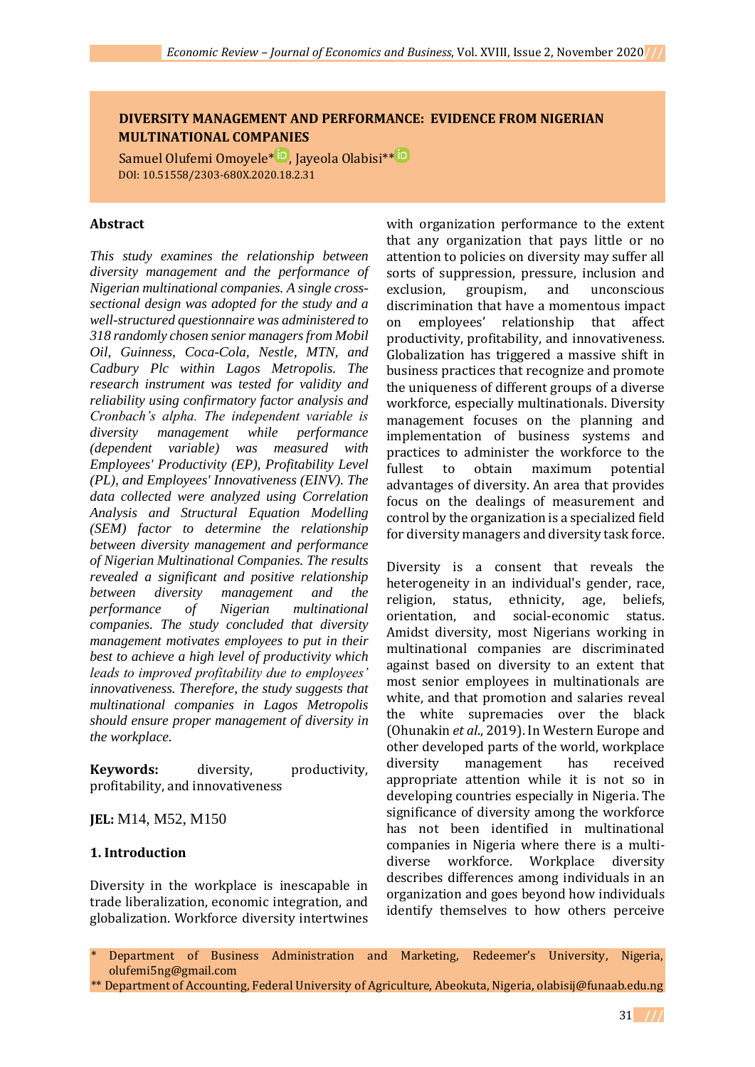# **DIVERSITY MANAGEMENT AND PERFORMANCE: EVIDENCE FROM NIGERIAN MULTINATIONAL COMPANIES**

Samuel Olufemi Omoyele<sup>[\\*](https://orcid.org/0000-0002-5390-0307) D</sup>, Jayeola Olabisi<sup>\*\* D</sup> DOI: 10.51558/2303-680X.2020.18.2.31

### **Abstract**

*This study examines the relationship between diversity management and the performance of Nigerian multinational companies. A single crosssectional design was adopted for the study and a well-structured questionnaire was administered to 318 randomly chosen senior managers from Mobil Oil, Guinness, Coca-Cola, Nestle, MTN, and Cadbury Plc within Lagos Metropolis. The research instrument was tested for validity and reliability using confirmatory factor analysis and Cronbach's alpha. The independent variable is diversity management while performance (dependent variable) was measured with Employees' Productivity (EP), Profitability Level (PL), and Employees' Innovativeness (EINV). The data collected were analyzed using Correlation Analysis and Structural Equation Modelling (SEM) factor to determine the relationship between diversity management and performance of Nigerian Multinational Companies. The results revealed a significant and positive relationship between diversity management and the performance of Nigerian multinational companies. The study concluded that diversity management motivates employees to put in their best to achieve a high level of productivity which leads to improved profitability due to employees' innovativeness. Therefore, the study suggests that multinational companies in Lagos Metropolis should ensure proper management of diversity in the workplace.* 

**Keywords:** diversity, productivity, profitability, and innovativeness

**JEL:** M14, M52, M150

### **1. Introduction**

Diversity in the workplace is inescapable in trade liberalization, economic integration, and globalization. Workforce diversity intertwines with organization performance to the extent that any organization that pays little or no attention to policies on diversity may suffer all sorts of suppression, pressure, inclusion and exclusion, groupism, and unconscious discrimination that have a momentous impact on employees' relationship that affect productivity, profitability, and innovativeness. Globalization has triggered a massive shift in business practices that recognize and promote the uniqueness of different groups of a diverse workforce, especially multinationals. Diversity management focuses on the planning and implementation of business systems and practices to administer the workforce to the fullest to obtain maximum potential advantages of diversity. An area that provides focus on the dealings of measurement and control by the organization is a specialized field for diversity managers and diversity task force.

Diversity is a consent that reveals the heterogeneity in an individual's gender, race, religion, status, ethnicity, age, beliefs, orientation, and social-economic status. Amidst diversity, most Nigerians working in multinational companies are discriminated against based on diversity to an extent that most senior employees in multinationals are white, and that promotion and salaries reveal the white supremacies over the black (Ohunakin *et al*., 2019). In Western Europe and other developed parts of the world, workplace diversity management has received appropriate attention while it is not so in developing countries especially in Nigeria. The significance of diversity among the workforce has not been identified in multinational companies in Nigeria where there is a multidiverse workforce. Workplace diversity describes differences among individuals in an organization and goes beyond how individuals identify themselves to how others perceive

Department of Business Administration and Marketing, Redeemer's University, Nigeria, olufemi5ng@gmail.com

<sup>\*\*</sup> Department of Accounting, Federal University of Agriculture, Abeokuta, Nigeria, olabisij@funaab.edu.ng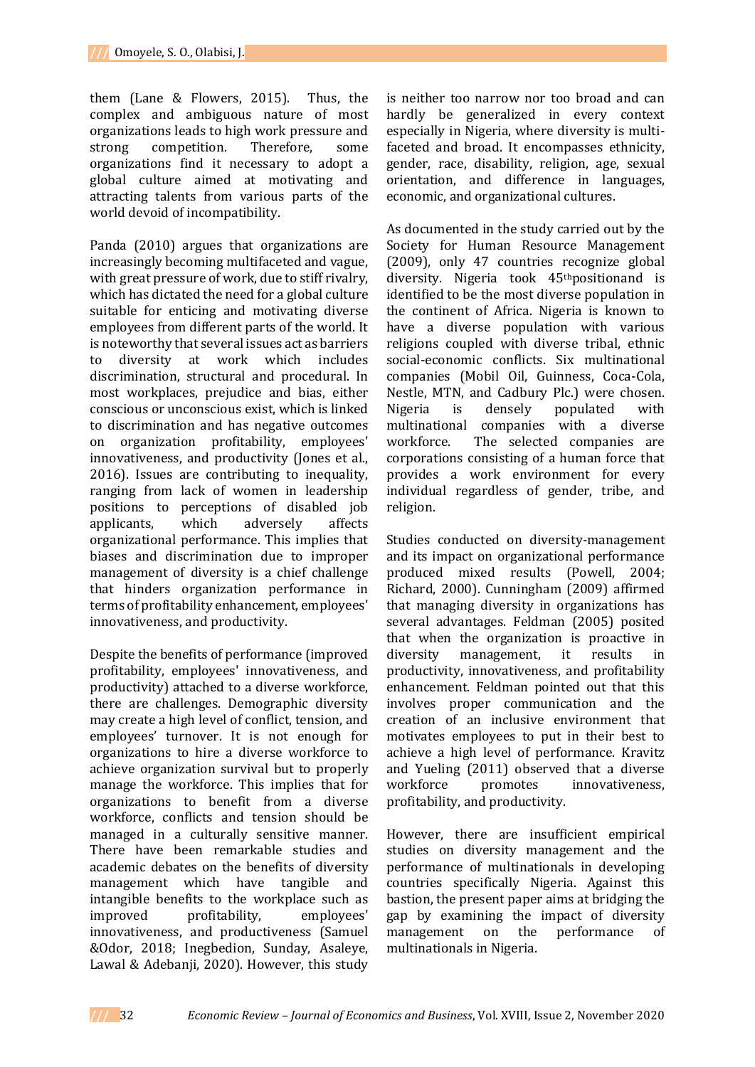them (Lane & Flowers, 2015). Thus, the complex and ambiguous nature of most organizations leads to high work pressure and strong competition. Therefore, some organizations find it necessary to adopt a global culture aimed at motivating and attracting talents from various parts of the world devoid of incompatibility.

Panda (2010) argues that organizations are increasingly becoming multifaceted and vague, with great pressure of work, due to stiff rivalry, which has dictated the need for a global culture suitable for enticing and motivating diverse employees from different parts of the world. It is noteworthy that several issues act as barriers to diversity at work which includes discrimination, structural and procedural. In most workplaces, prejudice and bias, either conscious or unconscious exist, which is linked to discrimination and has negative outcomes on organization profitability, employees' innovativeness, and productivity (Jones et al., 2016). Issues are contributing to inequality, ranging from lack of women in leadership positions to perceptions of disabled job applicants, which adversely affects organizational performance. This implies that biases and discrimination due to improper management of diversity is a chief challenge that hinders organization performance in terms of profitability enhancement, employees' innovativeness, and productivity.

Despite the benefits of performance (improved profitability, employees' innovativeness, and productivity) attached to a diverse workforce, there are challenges. Demographic diversity may create a high level of conflict, tension, and employees' turnover. It is not enough for organizations to hire a diverse workforce to achieve organization survival but to properly manage the workforce. This implies that for organizations to benefit from a diverse workforce, conflicts and tension should be managed in a culturally sensitive manner. There have been remarkable studies and academic debates on the benefits of diversity management which have tangible and intangible benefits to the workplace such as improved profitability, employees' innovativeness, and productiveness (Samuel &Odor, 2018; Inegbedion, Sunday, Asaleye, Lawal & Adebanji, 2020). However, this study

is neither too narrow nor too broad and can hardly be generalized in every context especially in Nigeria, where diversity is multifaceted and broad. It encompasses ethnicity, gender, race, disability, religion, age, sexual orientation, and difference in languages, economic, and organizational cultures.

As documented in the study carried out by the Society for Human Resource Management (2009), only 47 countries recognize global diversity. Nigeria took 45thpositionand is identified to be the most diverse population in the continent of Africa. Nigeria is known to have a diverse population with various religions coupled with diverse tribal, ethnic social-economic conflicts. Six multinational companies (Mobil Oil, Guinness, Coca-Cola, Nestle, MTN, and Cadbury Plc.) were chosen. Nigeria is densely populated with multinational companies with a diverse workforce. The selected companies are corporations consisting of a human force that provides a work environment for every individual regardless of gender, tribe, and religion.

Studies conducted on diversity-management and its impact on organizational performance produced mixed results (Powell, 2004; Richard, 2000). Cunningham (2009) affirmed that managing diversity in organizations has several advantages. Feldman (2005) posited that when the organization is proactive in diversity management, it results in productivity, innovativeness, and profitability enhancement. Feldman pointed out that this involves proper communication and the creation of an inclusive environment that motivates employees to put in their best to achieve a high level of performance. Kravitz and Yueling (2011) observed that a diverse workforce promotes innovativeness, profitability, and productivity.

However, there are insufficient empirical studies on diversity management and the performance of multinationals in developing countries specifically Nigeria. Against this bastion, the present paper aims at bridging the gap by examining the impact of diversity management on the performance of multinationals in Nigeria.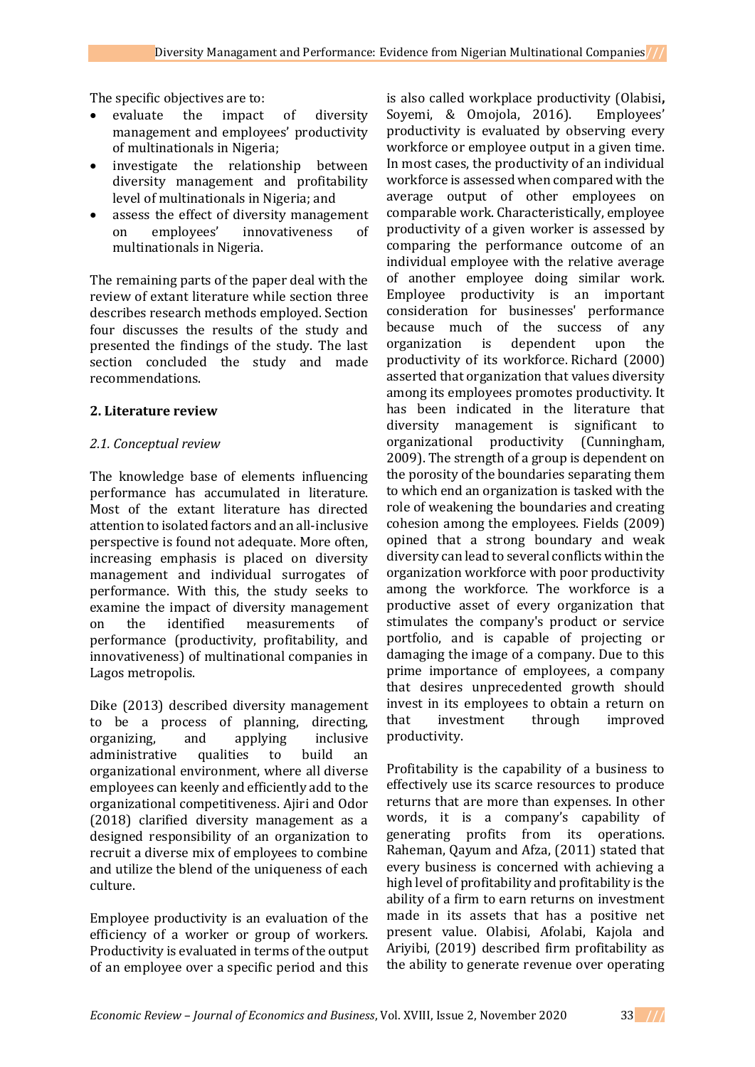The specific objectives are to:

- evaluate the impact of diversity management and employees' productivity of multinationals in Nigeria;
- investigate the relationship between diversity management and profitability level of multinationals in Nigeria; and
- assess the effect of diversity management on employees' innovativeness of multinationals in Nigeria.

The remaining parts of the paper deal with the review of extant literature while section three describes research methods employed. Section four discusses the results of the study and presented the findings of the study. The last section concluded the study and made recommendations.

## **2. Literature review**

# *2.1. Conceptual review*

The knowledge base of elements influencing performance has accumulated in literature. Most of the extant literature has directed attention to isolated factors and an all-inclusive perspective is found not adequate. More often, increasing emphasis is placed on diversity management and individual surrogates of performance. With this, the study seeks to examine the impact of diversity management on the identified measurements of performance (productivity, profitability, and innovativeness) of multinational companies in Lagos metropolis.

Dike (2013) described diversity management to be a process of planning, directing, organizing, and applying inclusive administrative qualities to build an organizational environment, where all diverse employees can keenly and efficiently add to the organizational competitiveness. Ajiri and Odor (2018) clarified diversity management as a designed responsibility of an organization to recruit a diverse mix of employees to combine and utilize the blend of the uniqueness of each culture.

Employee productivity is an evaluation of the efficiency of a worker or group of workers. Productivity is evaluated in terms of the output of an employee over a specific period and this

is also called workplace productivity (Olabisi**,**  Soyemi, & Omojola, 2016). Employees' productivity is evaluated by observing every workforce or employee output in a given time. In most cases, the productivity of an individual workforce is assessed when compared with the average output of other employees on comparable work. Characteristically, employee productivity of a given worker is assessed by comparing the performance outcome of an individual employee with the relative average of another employee doing similar work. Employee productivity is an important consideration for businesses' performance because much of the success of any organization is dependent upon the productivity of its workforce. Richard (2000) asserted that organization that values diversity among its employees promotes productivity. It has been indicated in the literature that diversity management is significant to organizational productivity (Cunningham, 2009). The strength of a group is dependent on the porosity of the boundaries separating them to which end an organization is tasked with the role of weakening the boundaries and creating cohesion among the employees. Fields (2009) opined that a strong boundary and weak diversity can lead to several conflicts within the organization workforce with poor productivity among the workforce. The workforce is a productive asset of every organization that stimulates the company's product or service portfolio, and is capable of projecting or damaging the image of a company. Due to this prime importance of employees, a company that desires unprecedented growth should invest in its employees to obtain a return on that investment through improved productivity.

Profitability is the capability of a business to effectively use its scarce resources to produce returns that are more than expenses. In other words, it is a company's capability of generating profits from its operations. Raheman, Qayum and Afza, (2011) stated that every business is concerned with achieving a high level of profitability and profitability is the ability of a firm to earn returns on investment made in its assets that has a positive net present value. Olabisi, Afolabi, Kajola and Ariyibi, (2019) described firm profitability as the ability to generate revenue over operating

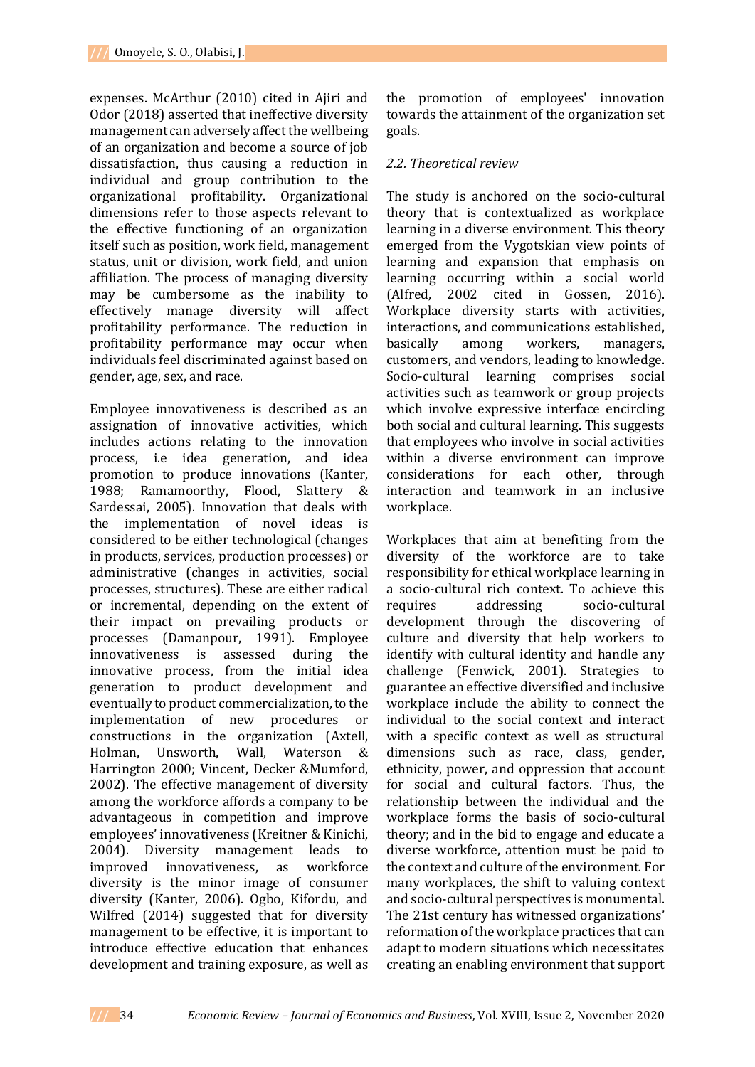expenses. McArthur (2010) cited in Ajiri and Odor (2018) asserted that ineffective diversity management can adversely affect the wellbeing of an organization and become a source of job dissatisfaction, thus causing a reduction in individual and group contribution to the organizational profitability. Organizational dimensions refer to those aspects relevant to the effective functioning of an organization itself such as position, work field, management status, unit or division, work field, and union affiliation. The process of managing diversity may be cumbersome as the inability to effectively manage diversity will affect profitability performance. The reduction in profitability performance may occur when individuals feel discriminated against based on gender, age, sex, and race.

Employee innovativeness is described as an assignation of innovative activities, which includes actions relating to the innovation process, i.e idea generation, and idea promotion to produce innovations (Kanter, 1988; Ramamoorthy, Flood, Slattery & Sardessai, 2005). Innovation that deals with the implementation of novel ideas is considered to be either technological (changes in products, services, production processes) or administrative (changes in activities, social processes, structures). These are either radical or incremental, depending on the extent of their impact on prevailing products or processes (Damanpour, 1991). Employee innovativeness is assessed during the innovative process, from the initial idea generation to product development and eventually to product commercialization, to the implementation of new procedures or constructions in the organization (Axtell, Holman, Unsworth, Wall, Waterson & Harrington 2000; Vincent, Decker &Mumford, 2002). The effective management of diversity among the workforce affords a company to be advantageous in competition and improve employees' innovativeness (Kreitner & Kinichi, 2004). Diversity management leads to improved innovativeness, as workforce diversity is the minor image of consumer diversity (Kanter, 2006). Ogbo, Kifordu, and Wilfred (2014) suggested that for diversity management to be effective, it is important to introduce effective education that enhances development and training exposure, as well as

the promotion of employees' innovation towards the attainment of the organization set goals.

## *2.2. Theoretical review*

The study is anchored on the socio-cultural theory that is contextualized as workplace learning in a diverse environment. This theory emerged from the Vygotskian view points of learning and expansion that emphasis on learning occurring within a social world (Alfred, 2002 cited in Gossen, 2016). Workplace diversity starts with activities, interactions, and communications established, basically among workers, managers, customers, and vendors, leading to knowledge. Socio-cultural learning comprises social activities such as teamwork or group projects which involve expressive interface encircling both social and cultural learning. This suggests that employees who involve in social activities within a diverse environment can improve considerations for each other, through interaction and teamwork in an inclusive workplace.

Workplaces that aim at benefiting from the diversity of the workforce are to take responsibility for ethical workplace learning in a socio-cultural rich context. To achieve this requires addressing socio-cultural development through the discovering of culture and diversity that help workers to identify with cultural identity and handle any challenge (Fenwick, 2001). Strategies to guarantee an effective diversified and inclusive workplace include the ability to connect the individual to the social context and interact with a specific context as well as structural dimensions such as race, class, gender, ethnicity, power, and oppression that account for social and cultural factors. Thus, the relationship between the individual and the workplace forms the basis of socio-cultural theory; and in the bid to engage and educate a diverse workforce, attention must be paid to the context and culture of the environment. For many workplaces, the shift to valuing context and socio-cultural perspectives is monumental. The 21st century has witnessed organizations' reformation of the workplace practices that can adapt to modern situations which necessitates creating an enabling environment that support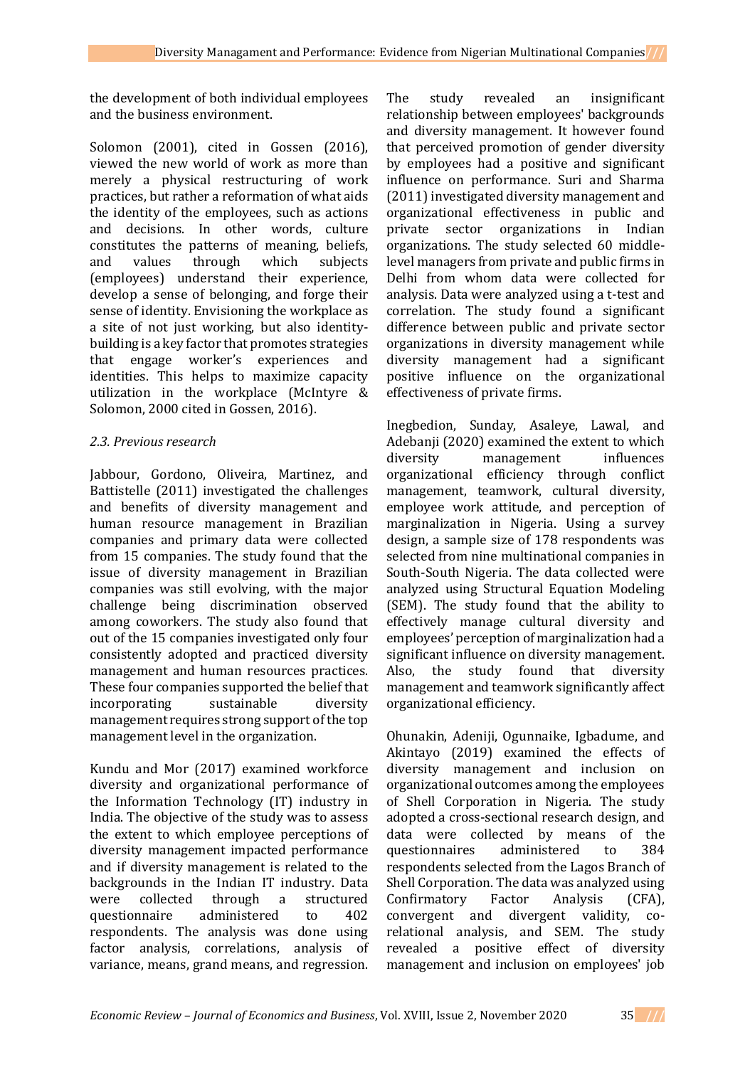the development of both individual employees and the business environment.

Solomon (2001), cited in Gossen (2016), viewed the new world of work as more than merely a physical restructuring of work practices, but rather a reformation of what aids the identity of the employees, such as actions and decisions. In other words, culture constitutes the patterns of meaning, beliefs, and values through which subjects (employees) understand their experience, develop a sense of belonging, and forge their sense of identity. Envisioning the workplace as a site of not just working, but also identitybuilding is a key factor that promotes strategies that engage worker's experiences and identities. This helps to maximize capacity utilization in the workplace (McIntyre & Solomon, 2000 cited in Gossen, 2016).

## *2.3. Previous research*

Jabbour, Gordono, Oliveira, Martinez, and Battistelle (2011) investigated the challenges and benefits of diversity management and human resource management in Brazilian companies and primary data were collected from 15 companies. The study found that the issue of diversity management in Brazilian companies was still evolving, with the major challenge being discrimination observed among coworkers. The study also found that out of the 15 companies investigated only four consistently adopted and practiced diversity management and human resources practices. These four companies supported the belief that incorporating sustainable diversity management requires strong support of the top management level in the organization.

Kundu and Mor (2017) examined workforce diversity and organizational performance of the Information Technology (IT) industry in India. The objective of the study was to assess the extent to which employee perceptions of diversity management impacted performance and if diversity management is related to the backgrounds in the Indian IT industry. Data were collected through a structured questionnaire administered to 402 respondents. The analysis was done using factor analysis, correlations, analysis of variance, means, grand means, and regression.

The study revealed an insignificant relationship between employees' backgrounds and diversity management. It however found that perceived promotion of gender diversity by employees had a positive and significant influence on performance. Suri and Sharma (2011) investigated diversity management and organizational effectiveness in public and private sector organizations in Indian organizations. The study selected 60 middlelevel managers from private and public firms in Delhi from whom data were collected for analysis. Data were analyzed using a t-test and correlation. The study found a significant difference between public and private sector organizations in diversity management while diversity management had a significant positive influence on the organizational effectiveness of private firms.

Inegbedion, Sunday, Asaleye, Lawal, and Adebanji (2020) examined the extent to which diversity management influences organizational efficiency through conflict management, teamwork, cultural diversity, employee work attitude, and perception of marginalization in Nigeria. Using a survey design, a sample size of 178 respondents was selected from nine multinational companies in South-South Nigeria. The data collected were analyzed using Structural Equation Modeling (SEM). The study found that the ability to effectively manage cultural diversity and employees' perception of marginalization had a significant influence on diversity management. Also, the study found that diversity management and teamwork significantly affect organizational efficiency.

Ohunakin, Adeniji, Ogunnaike, Igbadume, and Akintayo (2019) examined the effects of diversity management and inclusion on organizational outcomes among the employees of Shell Corporation in Nigeria. The study adopted a cross-sectional research design, and data were collected by means of the questionnaires administered to 384 respondents selected from the Lagos Branch of Shell Corporation. The data was analyzed using Confirmatory Factor Analysis (CFA), convergent and divergent validity, corelational analysis, and SEM. The study revealed a positive effect of diversity management and inclusion on employees' job

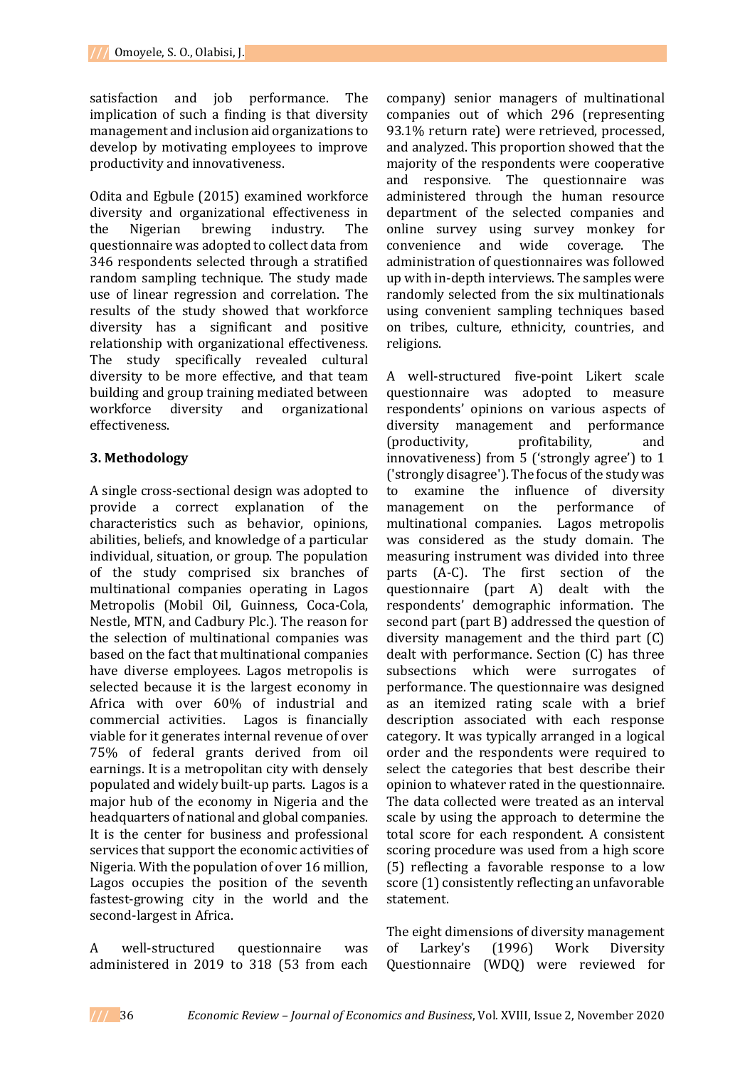satisfaction and job performance. The implication of such a finding is that diversity management and inclusion aid organizations to develop by motivating employees to improve productivity and innovativeness.

Odita and Egbule (2015) examined workforce diversity and organizational effectiveness in the Nigerian brewing industry. The questionnaire was adopted to collect data from 346 respondents selected through a stratified random sampling technique. The study made use of linear regression and correlation. The results of the study showed that workforce diversity has a significant and positive relationship with organizational effectiveness. The study specifically revealed cultural diversity to be more effective, and that team building and group training mediated between workforce diversity and organizational effectiveness.

### **3. Methodology**

A single cross-sectional design was adopted to provide a correct explanation of the characteristics such as behavior, opinions, abilities, beliefs, and knowledge of a particular individual, situation, or group. The population of the study comprised six branches of multinational companies operating in Lagos Metropolis (Mobil Oil, Guinness, Coca-Cola, Nestle, MTN, and Cadbury Plc.). The reason for the selection of multinational companies was based on the fact that multinational companies have diverse employees. Lagos metropolis is selected because it is the largest economy in Africa with over 60% of industrial and commercial activities. Lagos is financially viable for it generates internal revenue of over 75% of federal grants derived from oil earnings. It is a metropolitan city with densely populated and widely built-up parts. Lagos is a major hub of the economy in Nigeria and the headquarters of national and global companies. It is the center for business and professional services that support the economic activities of Nigeria. With the population of over 16 million, Lagos occupies the position of the seventh fastest-growing city in the world and the second-largest in Africa.

A well-structured questionnaire was administered in 2019 to 318 (53 from each

company) senior managers of multinational companies out of which 296 (representing 93.1% return rate) were retrieved, processed, and analyzed. This proportion showed that the majority of the respondents were cooperative and responsive. The questionnaire was administered through the human resource department of the selected companies and online survey using survey monkey for convenience and wide coverage. The administration of questionnaires was followed up with in-depth interviews. The samples were randomly selected from the six multinationals using convenient sampling techniques based on tribes, culture, ethnicity, countries, and religions.

A well-structured five-point Likert scale questionnaire was adopted to measure respondents' opinions on various aspects of diversity management and performance (productivity, profitability, and innovativeness) from 5 ('strongly agree') to 1 ('strongly disagree'). The focus of the study was to examine the influence of diversity management on the performance of multinational companies. Lagos metropolis was considered as the study domain. The measuring instrument was divided into three parts (A-C). The first section of the questionnaire (part A) dealt with the respondents' demographic information. The second part (part B) addressed the question of diversity management and the third part (C) dealt with performance. Section (C) has three subsections which were surrogates of performance. The questionnaire was designed as an itemized rating scale with a brief description associated with each response category. It was typically arranged in a logical order and the respondents were required to select the categories that best describe their opinion to whatever rated in the questionnaire. The data collected were treated as an interval scale by using the approach to determine the total score for each respondent. A consistent scoring procedure was used from a high score (5) reflecting a favorable response to a low score (1) consistently reflecting an unfavorable statement.

The eight dimensions of diversity management of Larkey's (1996) Work Diversity Questionnaire (WDQ) were reviewed for

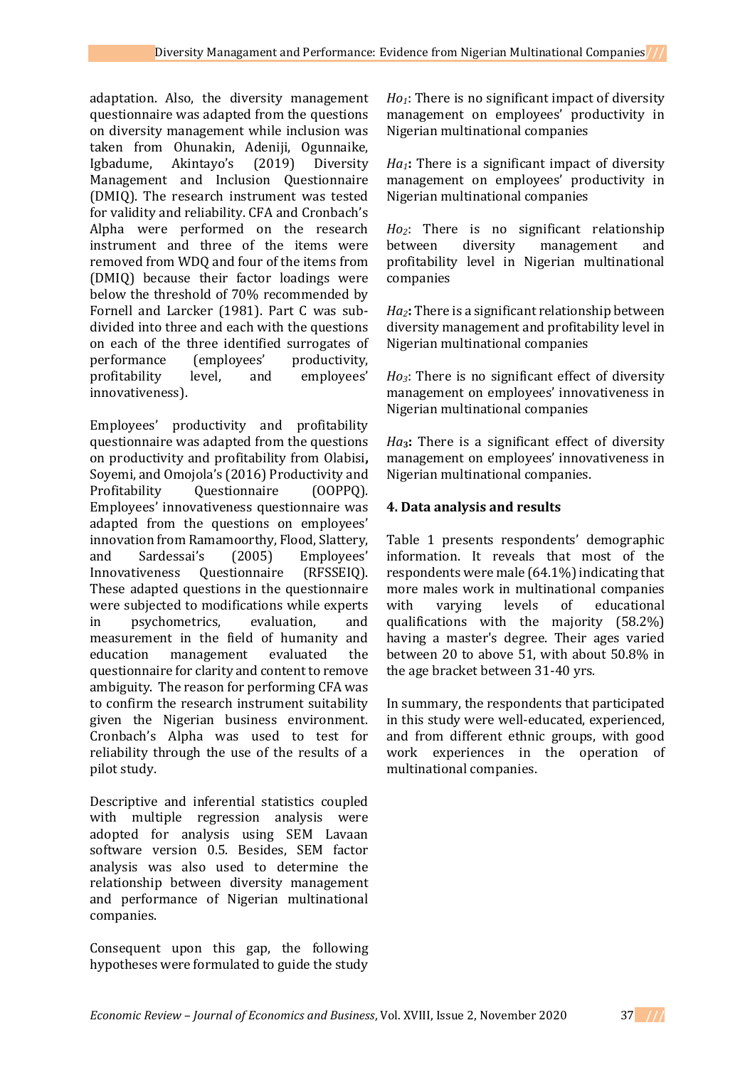adaptation. Also, the diversity management questionnaire was adapted from the questions on diversity management while inclusion was taken from Ohunakin, Adeniji, Ogunnaike, Igbadume, Akintayo's (2019) Diversity Management and Inclusion Questionnaire (DMIQ). The research instrument was tested for validity and reliability. CFA and Cronbach's Alpha were performed on the research instrument and three of the items were removed from WDQ and four of the items from (DMIQ) because their factor loadings were below the threshold of 70% recommended by Fornell and Larcker (1981). Part C was subdivided into three and each with the questions on each of the three identified surrogates of performance (employees' productivity, profitability level, and employees' innovativeness).

Employees' productivity and profitability questionnaire was adapted from the questions on productivity and profitability from Olabisi**,**  Soyemi, and Omojola's (2016) Productivity and Profitability Questionnaire (OOPPQ). Employees' innovativeness questionnaire was adapted from the questions on employees' innovation from Ramamoorthy, Flood, Slattery, and Sardessai's (2005) Employees' Innovativeness Questionnaire (RFSSEIQ). These adapted questions in the questionnaire were subjected to modifications while experts in psychometrics, evaluation, and measurement in the field of humanity and education management evaluated the questionnaire for clarity and content to remove ambiguity. The reason for performing CFA was to confirm the research instrument suitability given the Nigerian business environment. Cronbach's Alpha was used to test for reliability through the use of the results of a pilot study.

Descriptive and inferential statistics coupled with multiple regression analysis were adopted for analysis using SEM Lavaan software version 0.5. Besides, SEM factor analysis was also used to determine the relationship between diversity management and performance of Nigerian multinational companies.

Consequent upon this gap, the following hypotheses were formulated to guide the study *Ho1*: There is no significant impact of diversity management on employees' productivity in Nigerian multinational companies

*Ha1***:** There is a significant impact of diversity management on employees' productivity in Nigerian multinational companies

*Ho2*: There is no significant relationship between diversity management and profitability level in Nigerian multinational companies

*Ha2***:** There is a significant relationship between diversity management and profitability level in Nigerian multinational companies

*Ho3*: There is no significant effect of diversity management on employees' innovativeness in Nigerian multinational companies

*Ha***3:** There is a significant effect of diversity management on employees' innovativeness in Nigerian multinational companies.

# **4. Data analysis and results**

Table 1 presents respondents' demographic information. It reveals that most of the respondents were male (64.1%) indicating that more males work in multinational companies with varying levels of educational qualifications with the majority (58.2%) having a master's degree. Their ages varied between 20 to above 51, with about 50.8% in the age bracket between 31-40 yrs.

In summary, the respondents that participated in this study were well-educated, experienced, and from different ethnic groups, with good work experiences in the operation of multinational companies.

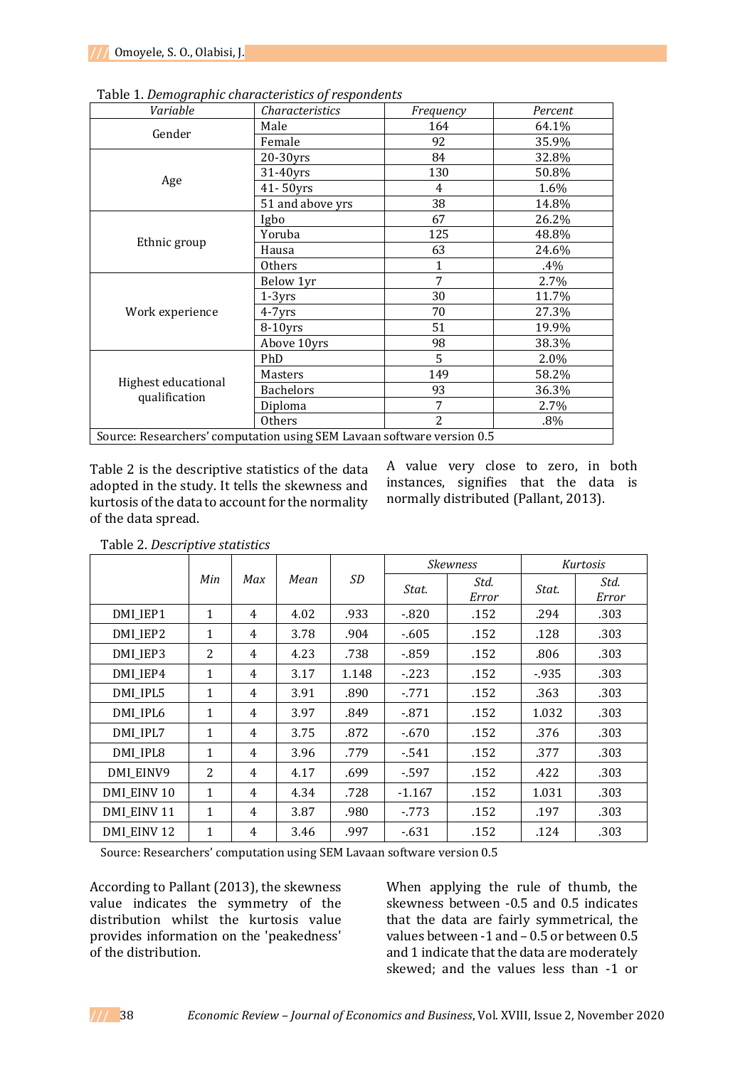| Variable                             | Characteristics  | Frequency                                                                                                                                                                                        | Percent |
|--------------------------------------|------------------|--------------------------------------------------------------------------------------------------------------------------------------------------------------------------------------------------|---------|
| Gender                               | Male             | 164                                                                                                                                                                                              | 64.1%   |
|                                      | Female           | 92<br>84<br>130<br>4<br>38<br>67<br>125<br>63<br>$\mathbf{1}$<br>7<br>30<br>70<br>51<br>98<br>5<br>149<br>93<br>7<br>2<br>Source: Researchers' computation using SEM Lavaan software version 0.5 | 35.9%   |
|                                      | 20-30yrs         |                                                                                                                                                                                                  | 32.8%   |
|                                      | 31-40yrs         |                                                                                                                                                                                                  | 50.8%   |
| Age                                  | $41 - 50$ yrs    |                                                                                                                                                                                                  | 1.6%    |
|                                      | 51 and above yrs |                                                                                                                                                                                                  | 14.8%   |
|                                      | Igbo             |                                                                                                                                                                                                  | 26.2%   |
|                                      | Yoruba           |                                                                                                                                                                                                  | 48.8%   |
| Ethnic group                         | Hausa            |                                                                                                                                                                                                  | 24.6%   |
|                                      | Others           |                                                                                                                                                                                                  | $.4\%$  |
|                                      | Below 1yr        |                                                                                                                                                                                                  | 2.7%    |
|                                      | $1-3yrs$         |                                                                                                                                                                                                  | 11.7%   |
| Work experience                      | $4 - 7$ yrs      |                                                                                                                                                                                                  | 27.3%   |
|                                      | $8-10$ yrs       |                                                                                                                                                                                                  | 19.9%   |
|                                      | Above 10yrs      |                                                                                                                                                                                                  | 38.3%   |
| Highest educational<br>qualification | PhD              |                                                                                                                                                                                                  | 2.0%    |
|                                      | Masters          |                                                                                                                                                                                                  | 58.2%   |
|                                      | <b>Bachelors</b> |                                                                                                                                                                                                  | 36.3%   |
|                                      | Diploma          |                                                                                                                                                                                                  | 2.7%    |
|                                      | <b>Others</b>    |                                                                                                                                                                                                  | $.8\%$  |
|                                      |                  |                                                                                                                                                                                                  |         |

Table 1. *Demographic characteristics of respondents*

Table 2 is the descriptive statistics of the data adopted in the study. It tells the skewness and kurtosis of the data to account for the normality of the data spread.

A value very close to zero, in both instances, signifies that the data is normally distributed (Pallant, 2013).

|                        |              |                |      |       |          | <b>Skewness</b> |        | Kurtosis      |
|------------------------|--------------|----------------|------|-------|----------|-----------------|--------|---------------|
|                        | Min          | Max            | Mean | SD    | Stat.    | Std.<br>Error   | Stat.  | Std.<br>Error |
| DMI_IEP1               | 1            | $\overline{4}$ | 4.02 | .933  | $-820$   | .152            | .294   | .303          |
| DMI IEP2               | $\mathbf{1}$ | 4              | 3.78 | .904  | $-605$   | .152            | .128   | .303          |
| DMI IEP3               | 2            | 4              | 4.23 | .738  | $-859$   | .152            | .806   | .303          |
| DMI_IEP4               | $\mathbf{1}$ | $\overline{4}$ | 3.17 | 1.148 | $-223$   | .152            | $-935$ | .303          |
| DMI_IPL5               | $\mathbf{1}$ | $\overline{4}$ | 3.91 | .890  | $-771$   | .152            | .363   | .303          |
| DMI_IPL6               | $\mathbf{1}$ | $\overline{4}$ | 3.97 | .849  | $-871$   | .152            | 1.032  | .303          |
| DMI_IPL7               | 1            | 4              | 3.75 | .872  | $-670$   | .152            | .376   | .303          |
| DMI_IPL8               | $\mathbf{1}$ | $\overline{4}$ | 3.96 | .779  | $-541$   | .152            | .377   | .303          |
| DMI EINV9              | 2            | 4              | 4.17 | .699  | $-597$   | .152            | .422   | .303          |
| DMI_EINV 10            | 1            | 4              | 4.34 | .728  | $-1.167$ | .152            | 1.031  | .303          |
| DMI_EINV 11            | 1            | 4              | 3.87 | .980  | - 773    | .152            | .197   | .303          |
| DMI EINV <sub>12</sub> | 1            | 4              | 3.46 | .997  | $-631$   | .152            | .124   | .303          |

Table 2. *Descriptive statistics*

Source: Researchers' computation using SEM Lavaan software version 0.5

According to Pallant (2013), the skewness value indicates the symmetry of the distribution whilst the kurtosis value provides information on the 'peakedness' of the distribution.

When applying the rule of thumb, the skewness between -0.5 and 0.5 indicates that the data are fairly symmetrical, the values between -1 and – 0.5 or between 0.5 and 1 indicate that the data are moderately skewed; and the values less than -1 or

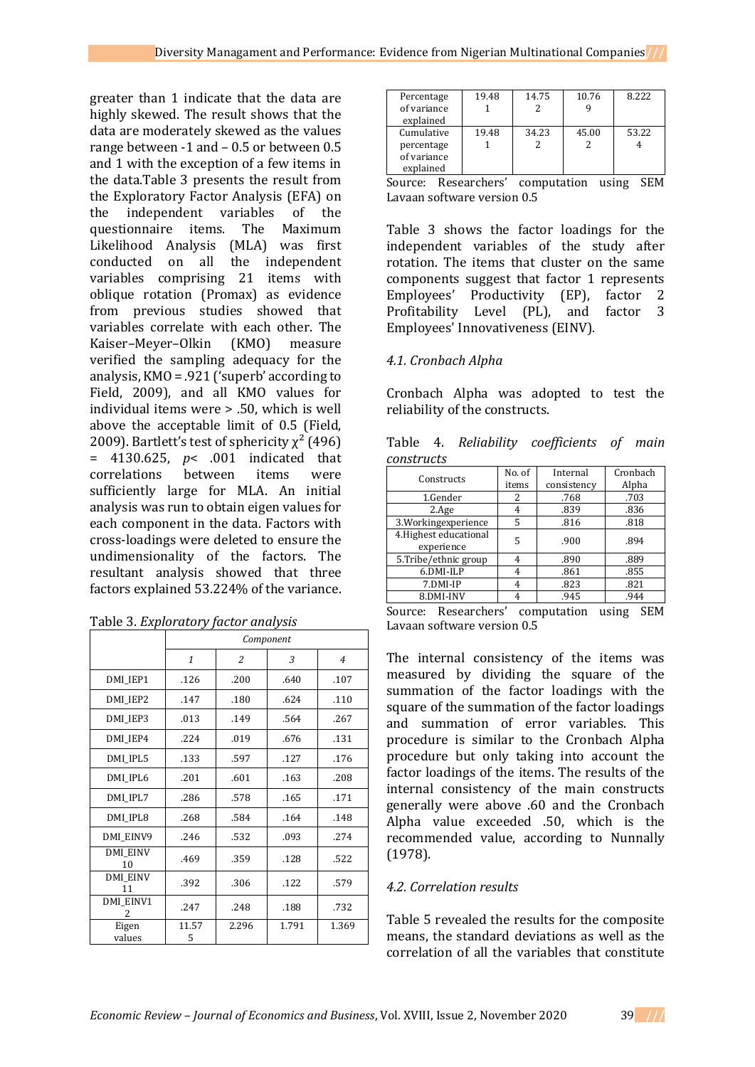greater than 1 indicate that the data are highly skewed. The result shows that the data are moderately skewed as the values range between -1 and – 0.5 or between 0.5 and 1 with the exception of a few items in the data.Table 3 presents the result from the Exploratory Factor Analysis (EFA) on the independent variables of the questionnaire items. The Maximum Likelihood Analysis (MLA) was first conducted on all the independent variables comprising 21 items with oblique rotation (Promax) as evidence from previous studies showed that variables correlate with each other. The Kaiser–Meyer–Olkin (KMO) measure verified the sampling adequacy for the analysis, KMO = .921 ('superb' according to Field, 2009), and all KMO values for individual items were > .50, which is well above the acceptable limit of 0.5 (Field, 2009). Bartlett's test of sphericity  $\chi^2$  (496) = 4130.625, *p*< .001 indicated that correlations between items were sufficiently large for MLA. An initial analysis was run to obtain eigen values for each component in the data. Factors with cross-loadings were deleted to ensure the undimensionality of the factors. The resultant analysis showed that three factors explained 53.224% of the variance.

|                       |              |                | Component |                |
|-----------------------|--------------|----------------|-----------|----------------|
|                       | $\mathbf{1}$ | $\overline{c}$ | 3         | $\overline{4}$ |
| DMI_IEP1              | .126         | .200           | .640      | .107           |
| DMI IEP2              | .147         | .180           | .624      | .110           |
| DMI IEP3              | .013         | .149           | .564      | .267           |
| DMI IEP4              | .224         | .019           | .676      | .131           |
| DMI IPL5              | .133         | .597           | .127      | .176           |
| DMI IPL6              | .201         | .601           | .163      | .208           |
| DMI IPL7              | .286         | .578           | .165      | .171           |
| DMI IPL8              | .268         | .584           | .164      | .148           |
| DMI EINV9             | .246         | .532           | .093      | .274           |
| <b>DMI EINV</b><br>10 | .469         | .359           | .128      | .522           |
| <b>DMI EINV</b><br>11 | .392         | .306           | .122      | .579           |
| DMI EINV1<br>2        | .247         | .248           | .188      | .732           |
| Eigen<br>values       | 11.57<br>5   | 2.296          | 1.791     | 1.369          |

| Percentage<br>of variance<br>explained               | 19.48 | 14.75 | 10.76 | 8.222 |
|------------------------------------------------------|-------|-------|-------|-------|
| Cumulative<br>percentage<br>of variance<br>explained | 19.48 | 34.23 | 45.00 | 53.22 |

Source: Researchers' computation using SEM Lavaan software version 0.5

Table 3 shows the factor loadings for the independent variables of the study after rotation. The items that cluster on the same components suggest that factor 1 represents Employees' Productivity (EP), factor 2 Profitability Level (PL), and factor 3 Employees' Innovativeness (EINV).

# *4.1. Cronbach Alpha*

Cronbach Alpha was adopted to test the reliability of the constructs.

|            |  | Table 4. Reliability coefficients of main |  |
|------------|--|-------------------------------------------|--|
| constructs |  |                                           |  |

| Constructs                           | No. of<br>items | Internal<br>consistency | Cronbach<br>Alpha |
|--------------------------------------|-----------------|-------------------------|-------------------|
| 1.Gender                             | 2               | .768                    | .703              |
| 2.Age                                |                 | .839                    | .836              |
| 3. Working experience                | 5               | .816                    | .818              |
| 4. Highest educational<br>experience | 5               | .900                    | .894              |
| 5.Tribe/ethnic group                 |                 | .890                    | .889              |
| 6.DMI-ILP                            |                 | .861                    | .855              |
| 7.DMI-IP                             |                 | .823                    | .821              |
| 8.DMI-INV                            |                 | .945                    | .944              |

Source: Researchers' computation using SEM Lavaan software version 0.5

The internal consistency of the items was measured by dividing the square of the summation of the factor loadings with the square of the summation of the factor loadings and summation of error variables. This procedure is similar to the Cronbach Alpha procedure but only taking into account the factor loadings of the items. The results of the internal consistency of the main constructs generally were above .60 and the Cronbach Alpha value exceeded .50, which is the recommended value, according to Nunnally (1978).

# *4.2. Correlation results*

Table 5 revealed the results for the composite means, the standard deviations as well as the correlation of all the variables that constitute

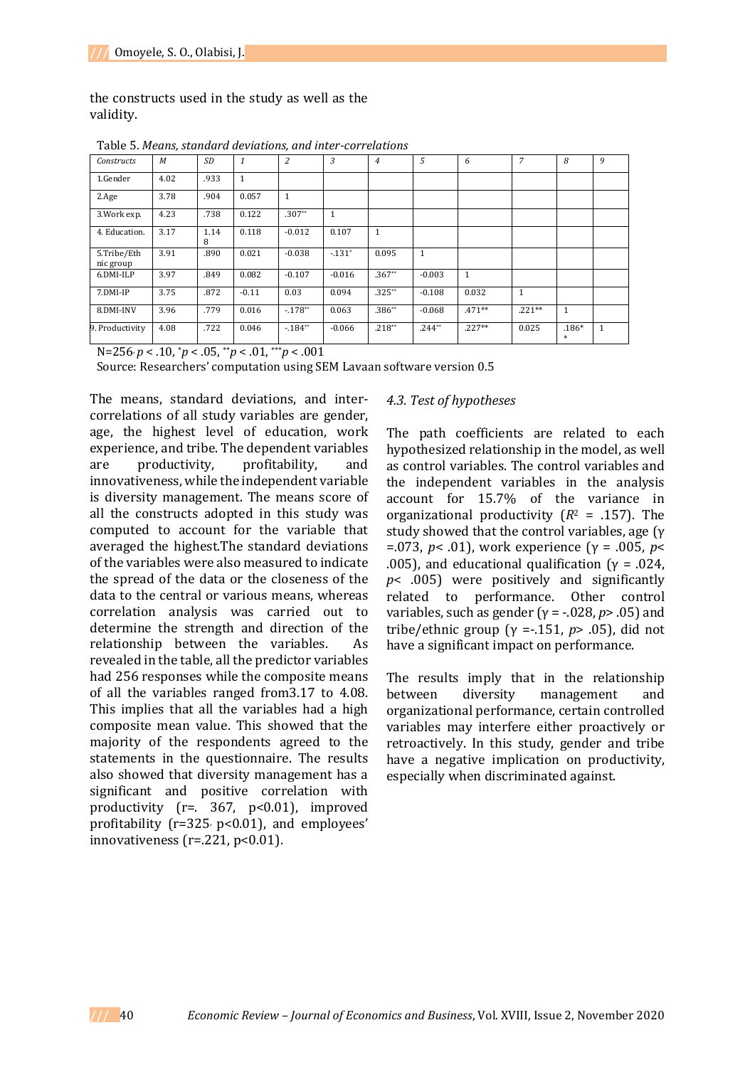the constructs used in the study as well as the validity.

| Constructs               | M    | <b>SD</b> | $\mathbf{1}$ | $\overline{2}$ | $\mathcal{E}$ | $\overline{4}$ | .5           | 6            | $\overline{7}$ | 8              | 9 |
|--------------------------|------|-----------|--------------|----------------|---------------|----------------|--------------|--------------|----------------|----------------|---|
| 1.Gender                 | 4.02 | .933      | $\mathbf{1}$ |                |               |                |              |              |                |                |   |
| 2.Age                    | 3.78 | .904      | 0.057        | 1              |               |                |              |              |                |                |   |
| 3. Work exp.             | 4.23 | .738      | 0.122        | $.307**$       | $\mathbf{1}$  |                |              |              |                |                |   |
| 4. Education.            | 3.17 | 1.14<br>8 | 0.118        | $-0.012$       | 0.107         | $\mathbf{1}$   |              |              |                |                |   |
| 5.Tribe/Eth<br>nic group | 3.91 | .890      | 0.021        | $-0.038$       | $-131*$       | 0.095          | $\mathbf{1}$ |              |                |                |   |
| 6.DMI-ILP                | 3.97 | .849      | 0.082        | $-0.107$       | $-0.016$      | $.367**$       | $-0.003$     | $\mathbf{1}$ |                |                |   |
| 7.DMI-IP                 | 3.75 | .872      | $-0.11$      | 0.03           | 0.094         | $.325**$       | $-0.108$     | 0.032        | 1              |                |   |
| 8.DMI-INV                | 3.96 | .779      | 0.016        | $-178^{**}$    | 0.063         | $.386**$       | $-0.068$     | $.471**$     | $.221**$       | 1              |   |
| 9. Productivity          | 4.08 | .722      | 0.046        | $-184**$       | $-0.066$      | $.218**$       | $.244**$     | $.227**$     | 0.025          | $.186*$<br>$*$ |   |

Table 5. *Means, standard deviations, and inter-correlations*

N=256, *p* < .10, \**p* < .05, \*\**p* < .01, \*\*\**p* < .001

Source: Researchers' computation using SEM Lavaan software version 0.5

The means, standard deviations, and intercorrelations of all study variables are gender, age, the highest level of education, work experience, and tribe. The dependent variables are productivity, profitability, and innovativeness, while the independent variable is diversity management. The means score of all the constructs adopted in this study was computed to account for the variable that averaged the highest.The standard deviations of the variables were also measured to indicate the spread of the data or the closeness of the data to the central or various means, whereas correlation analysis was carried out to determine the strength and direction of the relationship between the variables. As revealed in the table, all the predictor variables had 256 responses while the composite means of all the variables ranged from3.17 to 4.08. This implies that all the variables had a high composite mean value. This showed that the majority of the respondents agreed to the statements in the questionnaire. The results also showed that diversity management has a significant and positive correlation with productivity (r=. 367, p<0.01), improved profitability ( $r=325$ ,  $p<0.01$ ), and employees' innovativeness ( $r = 221$ ,  $p < 0.01$ ).

## *4.3. Test of hypotheses*

The path coefficients are related to each hypothesized relationship in the model, as well as control variables. The control variables and the independent variables in the analysis account for 15.7% of the variance in organizational productivity (*R*<sup>2</sup> = .157). The study showed that the control variables, age (γ =.073, *p*< .01), work experience (γ = .005, *p*< .005), and educational qualification ( $\gamma$  = .024, *p*< .005) were positively and significantly related to performance. Other control variables, such as gender (γ = -.028, *p*> .05) and tribe/ethnic group (γ =-.151, *p*> .05), did not have a significant impact on performance.

The results imply that in the relationship between diversity management and organizational performance, certain controlled variables may interfere either proactively or retroactively. In this study, gender and tribe have a negative implication on productivity, especially when discriminated against.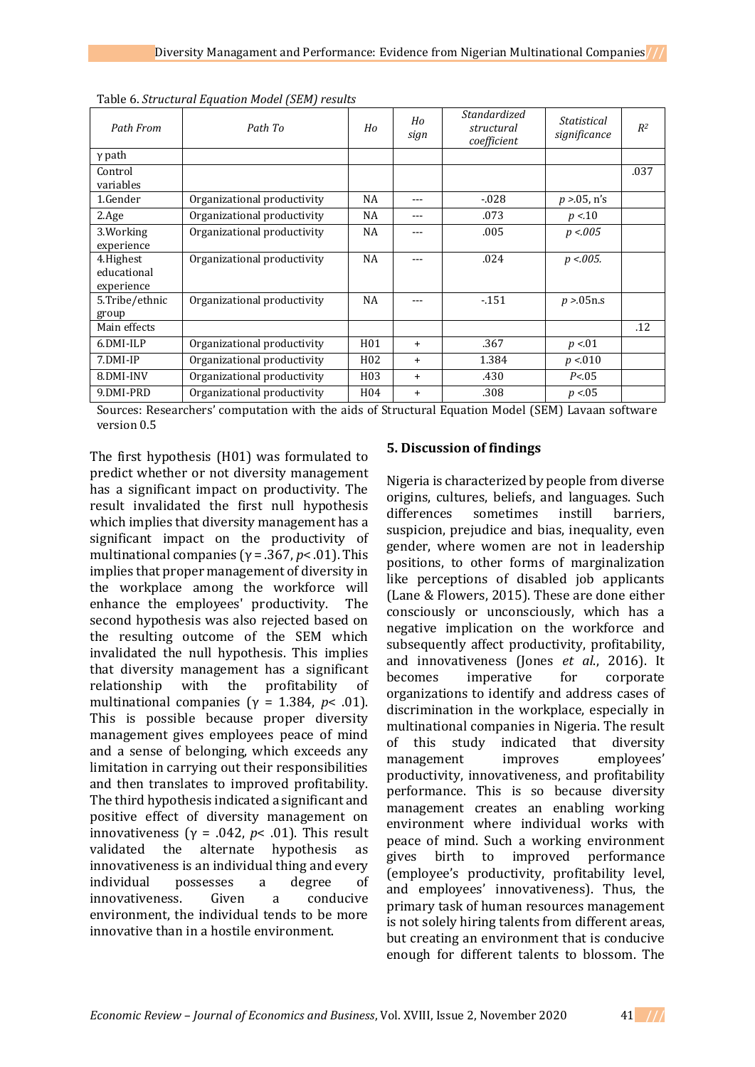| Path From                              | Path To                     | Ho               | Ho<br>sign | Standardized<br>structural<br>coefficient | <i>Statistical</i><br>significance | R <sup>2</sup> |
|----------------------------------------|-----------------------------|------------------|------------|-------------------------------------------|------------------------------------|----------------|
| $\gamma$ path                          |                             |                  |            |                                           |                                    |                |
| Control<br>variables                   |                             |                  |            |                                           |                                    | .037           |
| 1.Gender                               | Organizational productivity | NA               | ---        | $-0.028$                                  | $p > 05$ , n's                     |                |
| 2.Age                                  | Organizational productivity | NA               | ---        | .073                                      | p < 10                             |                |
| 3. Working<br>experience               | Organizational productivity | NA               | ---        | .005                                      | p < .005                           |                |
| 4.Highest<br>educational<br>experience | Organizational productivity | NA               | ---        | .024                                      | $p < 0.005$ .                      |                |
| 5.Tribe/ethnic<br>group                | Organizational productivity | NA               | ---        | $-151$                                    | p > 05n.s                          |                |
| Main effects                           |                             |                  |            |                                           |                                    | .12            |
| 6.DMI-ILP                              | Organizational productivity | H <sub>01</sub>  | $\ddot{}$  | .367                                      | p < 01                             |                |
| 7.DMI-IP                               | Organizational productivity | H <sub>0</sub> 2 | $\ddot{}$  | 1.384                                     | p < 010                            |                |
| 8.DMI-INV                              | Organizational productivity | H03              | $\ddot{}$  | .430                                      | P < 0.05                           |                |
| 9.DMI-PRD                              | Organizational productivity | H <sub>04</sub>  | $\ddot{}$  | .308                                      | p < 0.05                           |                |

Table 6. *Structural Equation Model (SEM) results*

Sources: Researchers' computation with the aids of Structural Equation Model (SEM) Lavaan software version 0.5

The first hypothesis (H01) was formulated to predict whether or not diversity management has a significant impact on productivity. The result invalidated the first null hypothesis which implies that diversity management has a significant impact on the productivity of multinational companies (γ = .367, *p*< .01). This implies that proper management of diversity in the workplace among the workforce will enhance the employees' productivity. The second hypothesis was also rejected based on the resulting outcome of the SEM which invalidated the null hypothesis. This implies that diversity management has a significant relationship with the profitability of multinational companies ( $y = 1.384$ ,  $p < .01$ ). This is possible because proper diversity management gives employees peace of mind and a sense of belonging, which exceeds any limitation in carrying out their responsibilities and then translates to improved profitability. The third hypothesis indicated a significant and positive effect of diversity management on innovativeness ( $\gamma$  = .042,  $p$ < .01). This result validated the alternate hypothesis as innovativeness is an individual thing and every individual possesses a degree of innovativeness. Given a conducive environment, the individual tends to be more innovative than in a hostile environment.

# **5. Discussion of findings**

Nigeria is characterized by people from diverse origins, cultures, beliefs, and languages. Such differences sometimes instill barriers, suspicion, prejudice and bias, inequality, even gender, where women are not in leadership positions, to other forms of marginalization like perceptions of disabled job applicants (Lane & Flowers, 2015). These are done either consciously or unconsciously, which has a negative implication on the workforce and subsequently affect productivity, profitability, and innovativeness (Jones *et al*., 2016). It becomes imperative for corporate organizations to identify and address cases of discrimination in the workplace, especially in multinational companies in Nigeria. The result of this study indicated that diversity management improves employees' productivity, innovativeness, and profitability performance. This is so because diversity management creates an enabling working environment where individual works with peace of mind. Such a working environment gives birth to improved performance (employee's productivity, profitability level, and employees' innovativeness). Thus, the primary task of human resources management is not solely hiring talents from different areas, but creating an environment that is conducive enough for different talents to blossom. The

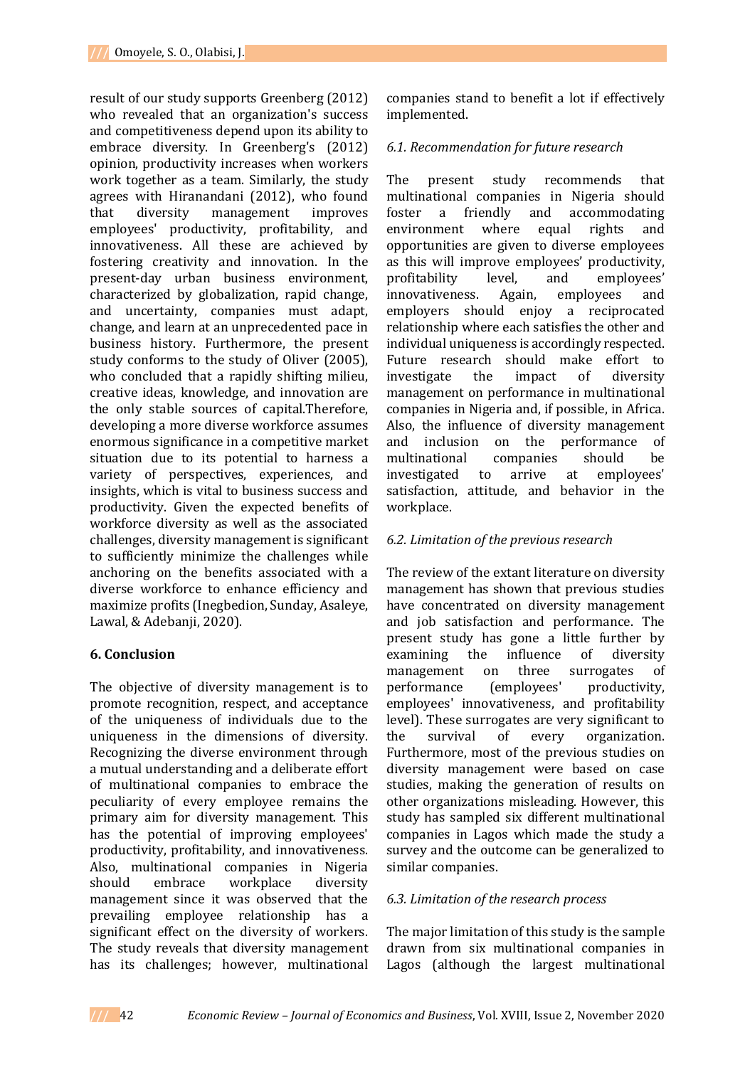result of our study supports Greenberg (2012) who revealed that an organization's success and competitiveness depend upon its ability to embrace diversity. In Greenberg's (2012) opinion, productivity increases when workers work together as a team. Similarly, the study agrees with Hiranandani (2012), who found that diversity management improves employees' productivity, profitability, and innovativeness. All these are achieved by fostering creativity and innovation. In the present-day urban business environment, characterized by globalization, rapid change, and uncertainty, companies must adapt, change, and learn at an unprecedented pace in business history. Furthermore, the present study conforms to the study of Oliver (2005), who concluded that a rapidly shifting milieu, creative ideas, knowledge, and innovation are the only stable sources of capital.Therefore, developing a more diverse workforce assumes enormous significance in a competitive market situation due to its potential to harness a variety of perspectives, experiences, and insights, which is vital to business success and productivity. Given the expected benefits of workforce diversity as well as the associated challenges, diversity management is significant to sufficiently minimize the challenges while anchoring on the benefits associated with a diverse workforce to enhance efficiency and maximize profits (Inegbedion, Sunday, Asaleye, Lawal, & Adebanji, 2020).

## **6. Conclusion**

The objective of diversity management is to promote recognition, respect, and acceptance of the uniqueness of individuals due to the uniqueness in the dimensions of diversity. Recognizing the diverse environment through a mutual understanding and a deliberate effort of multinational companies to embrace the peculiarity of every employee remains the primary aim for diversity management. This has the potential of improving employees' productivity, profitability, and innovativeness. Also, multinational companies in Nigeria should embrace workplace diversity management since it was observed that the prevailing employee relationship has a significant effect on the diversity of workers. The study reveals that diversity management has its challenges; however, multinational

companies stand to benefit a lot if effectively implemented.

## *6.1. Recommendation for future research*

The present study recommends that multinational companies in Nigeria should foster a friendly and accommodating environment where equal rights and opportunities are given to diverse employees as this will improve employees' productivity, profitability level, and employees' innovativeness. Again, employees and employers should enjoy a reciprocated relationship where each satisfies the other and individual uniqueness is accordingly respected. Future research should make effort to investigate the impact of diversity management on performance in multinational companies in Nigeria and, if possible, in Africa. Also, the influence of diversity management and inclusion on the performance of multinational companies should be investigated to arrive at employees' satisfaction, attitude, and behavior in the workplace.

## *6.2. Limitation of the previous research*

The review of the extant literature on diversity management has shown that previous studies have concentrated on diversity management and job satisfaction and performance. The present study has gone a little further by examining the influence of diversity management on three surrogates of performance (employees' productivity, employees' innovativeness, and profitability level). These surrogates are very significant to the survival of every organization. Furthermore, most of the previous studies on diversity management were based on case studies, making the generation of results on other organizations misleading. However, this study has sampled six different multinational companies in Lagos which made the study a survey and the outcome can be generalized to similar companies.

### *6.3. Limitation of the research process*

The major limitation of this study is the sample drawn from six multinational companies in Lagos (although the largest multinational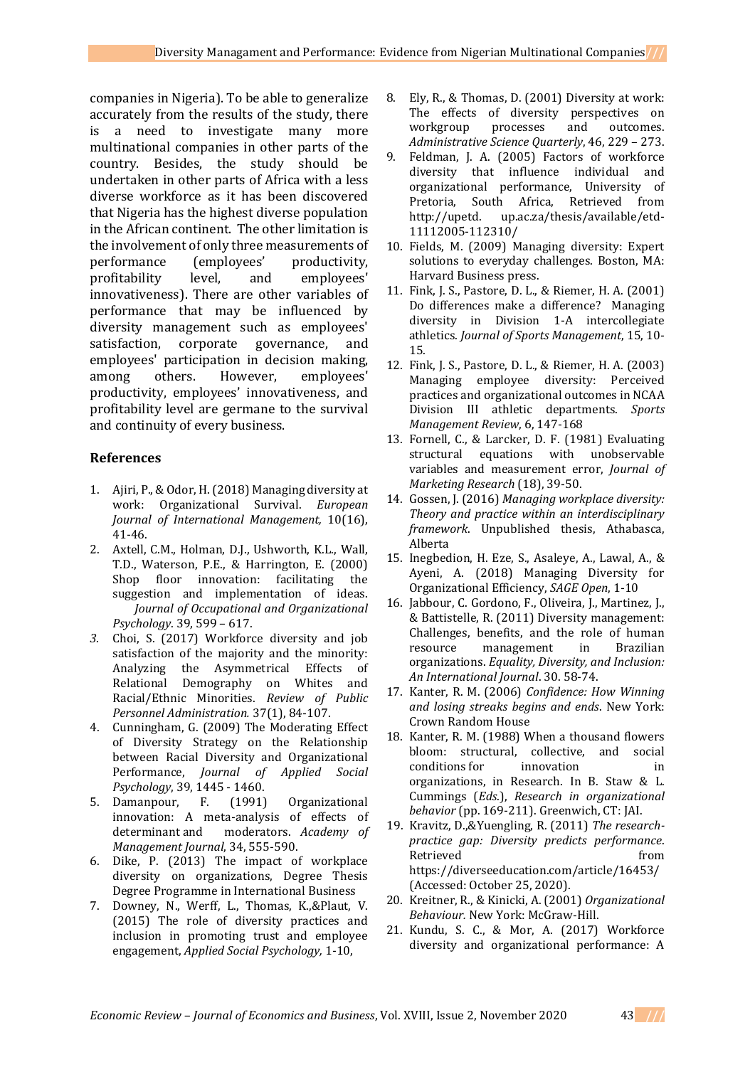companies in Nigeria). To be able to generalize accurately from the results of the study, there is a need to investigate many more multinational companies in other parts of the country. Besides, the study should be undertaken in other parts of Africa with a less diverse workforce as it has been discovered that Nigeria has the highest diverse population in the African continent. The other limitation is the involvement of only three measurements of performance (employees' productivity, profitability level, and employees' innovativeness). There are other variables of performance that may be influenced by diversity management such as employees' satisfaction, corporate governance, and employees' participation in decision making, among others. However, employees' productivity, employees' innovativeness, and profitability level are germane to the survival and continuity of every business.

## **References**

- 1. Ajiri, P., & Odor, H. (2018) Managing diversity at work: Organizational Survival. *European Journal of International Management,* 10(16), 41-46.
- 2. Axtell, C.M., Holman, D.J., Ushworth, K.L., Wall, T.D., Waterson, P.E., & Harrington, E. (2000) Shop floor innovation: facilitating the suggestion and implementation of ideas. *Journal of Occupational and Organizational Psychology*. 39, 599 – 617.
- *3.* Choi, S. (2017) Workforce diversity and job satisfaction of the majority and the minority: Analyzing the Asymmetrical Effects of Relational Demography on Whites and Racial/Ethnic Minorities. *Review of Public Personnel Administration.* 37(1), 84-107.
- 4. Cunningham, G. (2009) The Moderating Effect of Diversity Strategy on the Relationship between Racial Diversity and Organizational Performance, *Journal of Applied Social Psychology*, 39, 1445 - 1460.
- 5. Damanpour, F. (1991) Organizational innovation: A meta-analysis of effects of determinant and moderators. *Academy of Management Journal*, 34, 555-590.
- 6. Dike, P. (2013) The impact of workplace diversity on organizations, Degree Thesis Degree Programme in International Business
- 7. Downey, N., Werff, L., Thomas, K.,&Plaut, V. (2015) The role of diversity practices and inclusion in promoting trust and employee engagement, *Applied Social Psychology,* 1-10,
- 8. Ely, R., & Thomas, D. (2001) Diversity at work: The effects of diversity perspectives on workgroup processes and outcomes. *Administrative Science Quarterly*, 46, 229 – 273.
- 9. Feldman, J. A. (2005) Factors of workforce diversity that influence individual and organizational performance, University of Pretoria, South Africa, Retrieved from http://upetd. up.ac.za/thesis/available/etd-11112005-112310/
- 10. Fields, M. (2009) Managing diversity: Expert solutions to everyday challenges. Boston, MA: Harvard Business press.
- 11. Fink, J. S., Pastore, D. L., & Riemer, H. A. (2001) Do differences make a difference? Managing diversity in Division 1-A intercollegiate athletics. *Journal of Sports Management*, 15, 10- 15.
- 12. Fink, J. S., Pastore, D. L., & Riemer, H. A. (2003) Managing employee diversity: Perceived practices and organizational outcomes in NCAA Division III athletic departments. *Sports Management Review*, 6, 147-168
- 13. Fornell, C., & Larcker, D. F. (1981) Evaluating structural equations with unobservable variables and measurement error, *Journal of Marketing Research* (18), 39-50.
- 14. Gossen, J. (2016) *Managing workplace diversity: Theory and practice within an interdisciplinary framework*. Unpublished thesis, Athabasca, Alberta
- 15. Inegbedion, H. Eze, S., Asaleye, A., Lawal, A., & Ayeni, A. (2018) Managing Diversity for Organizational Efficiency, *SAGE Open*, 1-10
- 16. Jabbour, C. Gordono, F., Oliveira, J., Martinez, J., & Battistelle, R. (2011) Diversity management: Challenges, benefits, and the role of human resource management in Brazilian organizations. *Equality, Diversity, and Inclusion: An International Journal*. 30. 58-74.
- 17. Kanter, R. M. (2006) *Confidence: How Winning and losing streaks begins and ends*. New York: Crown Random House
- 18. Kanter, R. M. (1988) When a thousand flowers bloom: structural, collective, and social conditions for innovation in organizations, in Research. In B. Staw & L. Cummings (*Eds*.), *Research in organizational behavior* (pp. 169-211). Greenwich, CT: JAI.
- 19. Kravitz, D.,&Yuengling, R. (2011) *The researchpractice gap: Diversity predicts performance*. Retrieved from https://diverseeducation.com/article/16453/ (Accessed: October 25, 2020).
- 20. Kreitner, R., & Kinicki, A. (2001) *Organizational Behaviour.* New York: McGraw-Hill.
- 21. Kundu, S. C., & Mor, A. (2017) Workforce diversity and organizational performance: A